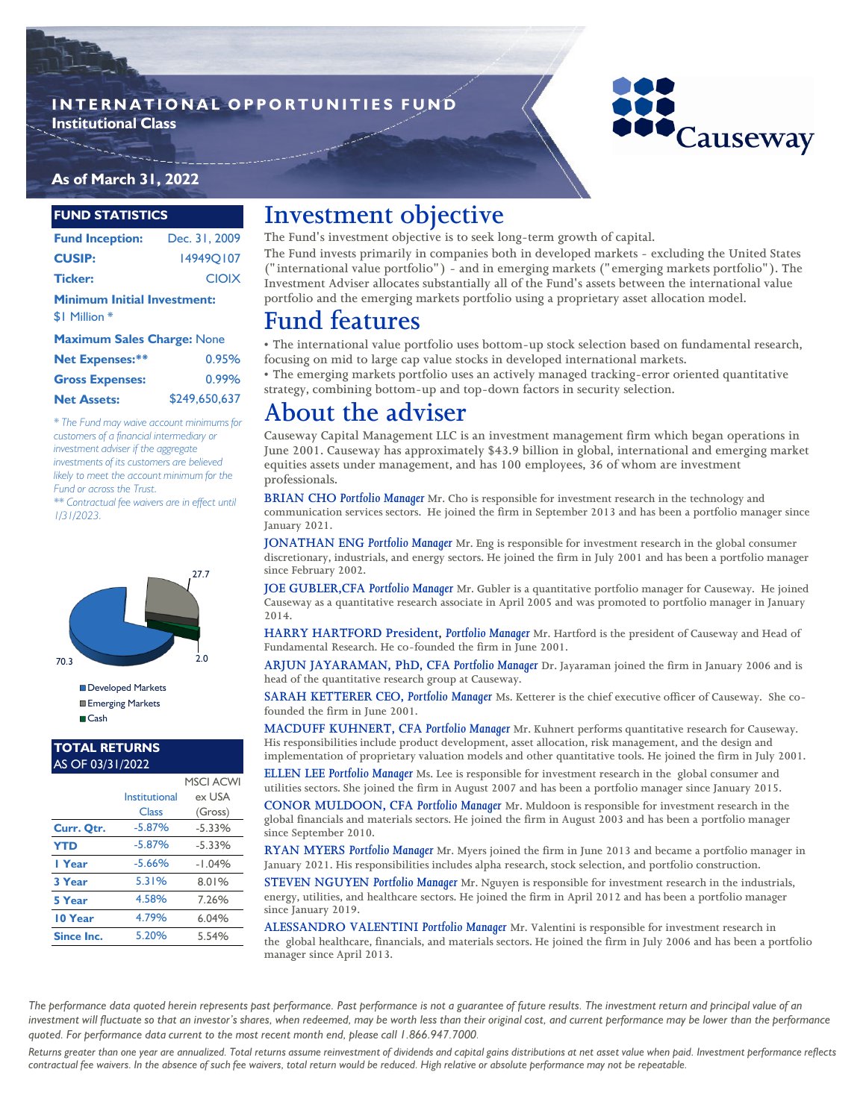### **INTERNATIONAL OPPORTUNITIES FUND Institutional Class**



### **As of March 31, 2022**

#### **FUND STATISTICS**

| <b>Fund Inception:</b>             | Dec. 31, 2009    |  |  |  |  |
|------------------------------------|------------------|--|--|--|--|
| <b>CUSIP:</b>                      | <b>149490107</b> |  |  |  |  |
| <b>Ticker:</b>                     | <b>CIOIX</b>     |  |  |  |  |
| <b>Minimum Initial Investment:</b> |                  |  |  |  |  |
| \$1 Million *                      |                  |  |  |  |  |
| Marchanter Caller Chancer Miller   |                  |  |  |  |  |

| <b>Maximum Sales Charge: None</b> |               |  |  |  |
|-----------------------------------|---------------|--|--|--|
| <b>Net Expenses:**</b>            | 0.95%         |  |  |  |
| <b>Gross Expenses:</b>            | 0.99%         |  |  |  |
| <b>Net Assets:</b>                | \$249,650,637 |  |  |  |

*\* The Fund may waive account minimums for customers of a financial intermediary or investment adviser if the aggregate investments of its customers are believed likely to meet the account minimum for the Fund or across the Trust.*

*\*\* Contractual fee waivers are in effect until 1/31/2023.*



Developed Markets **Emerging Markets** ■Cash

#### **TOTAL RETURNS**  AS OF 03/31/2022

|            |               | <b>MSCI ACWI</b> |
|------------|---------------|------------------|
|            | Institutional | ex USA           |
|            | Class         | (Gross)          |
| Curr. Qtr. | $-5.87%$      | $-5.33%$         |
| <b>YTD</b> | $-5.87%$      | $-5.33%$         |
| I Year     | $-5.66%$      | $-1.04%$         |
| 3 Year     | 5.31%         | 8.01%            |
| 5 Year     | 4.58%         | 7.26%            |
| 10 Year    | 4.79%         | 6.04%            |
| Since Inc. | 5.20%         | 5.54%            |

## **Investment objective**

**The Fund's investment objective is to seek long-term growth of capital.** 

**The Fund invests primarily in companies both in developed markets - excluding the United States ("international value portfolio") - and in emerging markets ("emerging markets portfolio"). The Investment Adviser allocates substantially all of the Fund's assets between the international value portfolio and the emerging markets portfolio using a proprietary asset allocation model.**

# **Fund features**

**• The international value portfolio uses bottom-up stock selection based on fundamental research, focusing on mid to large cap value stocks in developed international markets.**

**• The emerging markets portfolio uses an actively managed tracking-error oriented quantitative strategy, combining bottom-up and top-down factors in security selection.**

## **About the adviser**

**Causeway Capital Management LLC is an investment management firm which began operations in June 2001. Causeway has approximately \$43.9 billion in global, international and emerging market equities assets under management, and has 100 employees, 36 of whom are investment professionals.** 

**BRIAN CHO** *Portfolio Manager* **Mr. Cho is responsible for investment research in the technology and communication services sectors. He joined the firm in September 2013 and has been a portfolio manager since January 2021.** 

**JONATHAN ENG** *Portfolio Manager* **Mr. Eng is responsible for investment research in the global consumer discretionary, industrials, and energy sectors. He joined the firm in July 2001 and has been a portfolio manager since February 2002.** 

**JOE GUBLER,CFA** *Portfolio Manager* **Mr. Gubler is a quantitative portfolio manager for Causeway. He joined Causeway as a quantitative research associate in April 2005 and was promoted to portfolio manager in January 2014.**

**HARRY HARTFORD President,** *Portfolio Manager* **Mr. Hartford is the president of Causeway and Head of Fundamental Research. He co-founded the firm in June 2001.** 

**ARJUN JAYARAMAN, PhD, CFA** *Portfolio Manager* **Dr. Jayaraman joined the firm in January 2006 and is head of the quantitative research group at Causeway.**

**SARAH KETTERER CEO,** *Portfolio Manager* **Ms. Ketterer is the chief executive officer of Causeway. She cofounded the firm in June 2001.**

**MACDUFF KUHNERT, CFA** *Portfolio Manager* **Mr. Kuhnert performs quantitative research for Causeway. His responsibilities include product development, asset allocation, risk management, and the design and implementation of proprietary valuation models and other quantitative tools. He joined the firm in July 2001.**

**ELLEN LEE** *Portfolio Manager* **Ms. Lee is responsible for investment research in the global consumer and utilities sectors. She joined the firm in August 2007 and has been a portfolio manager since January 2015.** 

**CONOR MULDOON, CFA** *Portfolio Manager* **Mr. Muldoon is responsible for investment research in the global financials and materials sectors. He joined the firm in August 2003 and has been a portfolio manager since September 2010.**

**RYAN MYERS** *Portfolio Manager* **Mr. Myers joined the firm in June 2013 and became a portfolio manager in January 2021. His responsibilities includes alpha research, stock selection, and portfolio construction.** 

**STEVEN NGUYEN** *Portfolio Manager* **Mr. Nguyen is responsible for investment research in the industrials, energy, utilities, and healthcare sectors. He joined the firm in April 2012 and has been a portfolio manager since January 2019.** 

**ALESSANDRO VALENTINI** *Portfolio Manager* **Mr. Valentini is responsible for investment research in the global healthcare, financials, and materials sectors. He joined the firm in July 2006 and has been a portfolio manager since April 2013.**

The performance data quoted herein represents past performance. Past performance is not a guarantee of future results. The investment return and principal value of an investment will fluctuate so that an investor's shares, when redeemed, may be worth less than their original cost, and current performance may be lower than the performance *quoted. For performance data current to the most recent month end, please call 1.866.947.7000.* 

*Returns greater than one year are annualized. Total returns assume reinvestment of dividends and capital gains distributions at net asset value when paid. Investment performance reflects contractual fee waivers. In the absence of such fee waivers, total return would be reduced. High relative or absolute performance may not be repeatable.*